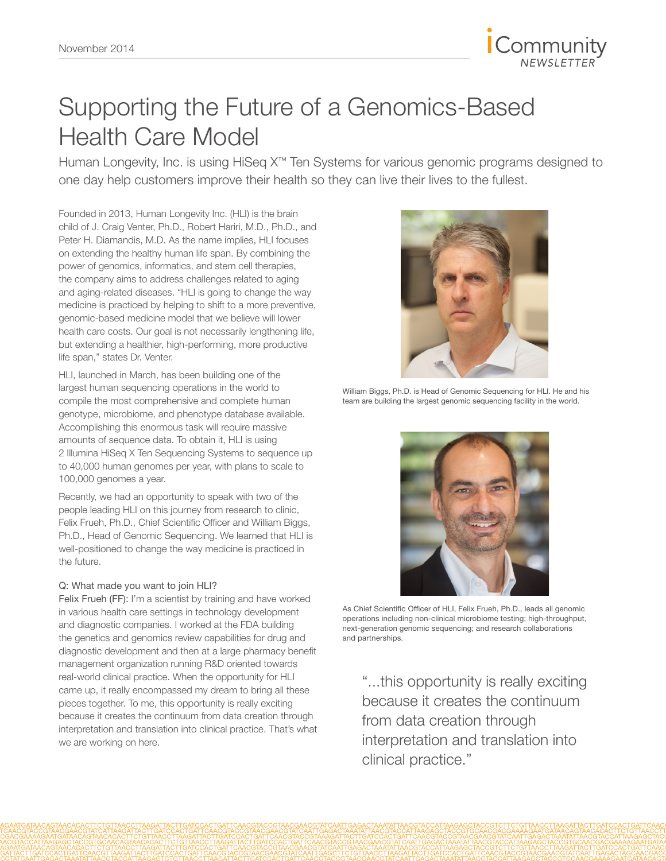

# Supporting the Future of a Genomics-Based Health Care Model

Human Longevity, Inc. is using HiSeq X™ Ten Systems for various genomic programs designed to one day help customers improve their health so they can live their lives to the fullest.

Founded in 2013, Human Longevity Inc. (HLI) is the brain child of J. Craig Venter, Ph.D., Robert Hariri, M.D., Ph.D., and Peter H. Diamandis, M.D. As the name implies, HLI focuses on extending the healthy human life span. By combining the power of genomics, informatics, and stem cell therapies, the company aims to address challenges related to aging and aging-related diseases. "HLI is going to change the way medicine is practiced by helping to shift to a more preventive, genomic-based medicine model that we believe will lower health care costs. Our goal is not necessarily lengthening life, but extending a healthier, high-performing, more productive life span," states Dr. Venter.

HLI, launched in March, has been building one of the largest human sequencing operations in the world to compile the most comprehensive and complete human genotype, microbiome, and phenotype database available. Accomplishing this enormous task will require massive amounts of sequence data. To obtain it, HLI is using 2 Illumina HiSeq X Ten Sequencing Systems to sequence up to 40,000 human genomes per year, with plans to scale to 100,000 genomes a year.

Recently, we had an opportunity to speak with two of the people leading HLI on this journey from research to clinic, Felix Frueh, Ph.D., Chief Scientific Officer and William Biggs, Ph.D., Head of Genomic Sequencing. We learned that HLI is well-positioned to change the way medicine is practiced in the future.

#### Q: What made you want to join HLI?

Felix Frueh (FF): I'm a scientist by training and have worked in various health care settings in technology development and diagnostic companies. I worked at the FDA building the genetics and genomics review capabilities for drug and diagnostic development and then at a large pharmacy benefit management organization running R&D oriented towards real-world clinical practice. When the opportunity for HLI came up, it really encompassed my dream to bring all these pieces together. To me, this opportunity is really exciting because it creates the continuum from data creation through interpretation and translation into clinical practice. That's what we are working on here.



William Biggs, Ph.D. is Head of Genomic Sequencing for HLI. He and his team are building the largest genomic sequencing facility in the world.



As Chief Scientific Officer of HLI, Felix Frueh, Ph.D., leads all genomic operations including non-clinical microbiome testing; high-throughput, next-generation genomic sequencing; and research collaborations and partnerships.

"...this opportunity is really exciting because it creates the continuum from data creation through interpretation and translation into clinical practice."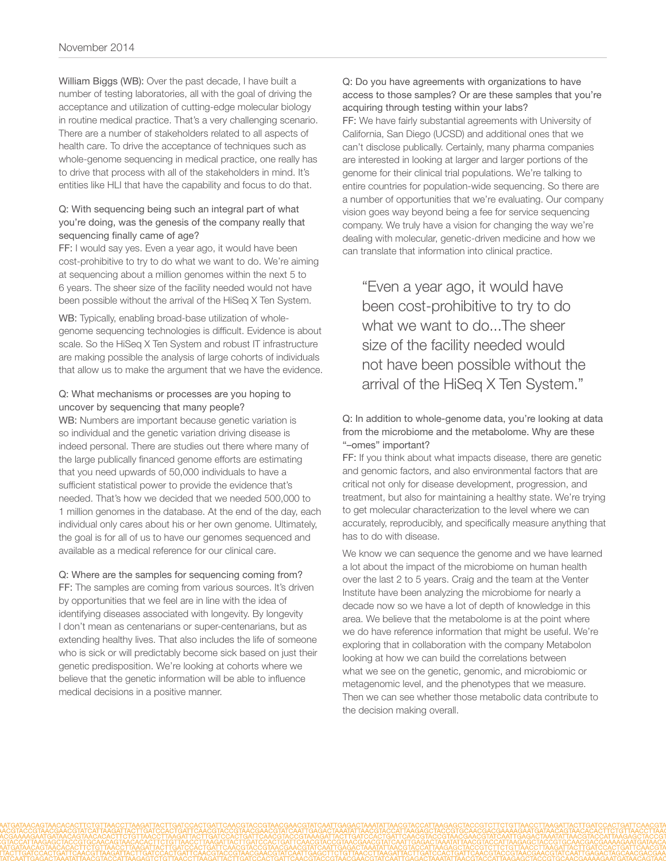William Biggs (WB): Over the past decade, I have built a number of testing laboratories, all with the goal of driving the acceptance and utilization of cutting-edge molecular biology in routine medical practice. That's a very challenging scenario. There are a number of stakeholders related to all aspects of health care. To drive the acceptance of techniques such as whole-genome sequencing in medical practice, one really has to drive that process with all of the stakeholders in mind. It's entities like HLI that have the capability and focus to do that.

#### Q: With sequencing being such an integral part of what you're doing, was the genesis of the company really that sequencing finally came of age?

FF: I would say yes. Even a year ago, it would have been cost-prohibitive to try to do what we want to do. We're aiming at sequencing about a million genomes within the next 5 to 6 years. The sheer size of the facility needed would not have been possible without the arrival of the HiSeq X Ten System.

WB: Typically, enabling broad-base utilization of wholegenome sequencing technologies is difficult. Evidence is about scale. So the HiSeq X Ten System and robust IT infrastructure are making possible the analysis of large cohorts of individuals that allow us to make the argument that we have the evidence.

#### Q: What mechanisms or processes are you hoping to uncover by sequencing that many people?

WB: Numbers are important because genetic variation is so individual and the genetic variation driving disease is indeed personal. There are studies out there where many of the large publically financed genome efforts are estimating that you need upwards of 50,000 individuals to have a sufficient statistical power to provide the evidence that's needed. That's how we decided that we needed 500,000 to 1 million genomes in the database. At the end of the day, each individual only cares about his or her own genome. Ultimately, the goal is for all of us to have our genomes sequenced and available as a medical reference for our clinical care.

#### Q: Where are the samples for sequencing coming from?

FF: The samples are coming from various sources. It's driven by opportunities that we feel are in line with the idea of identifying diseases associated with longevity. By longevity I don't mean as centenarians or super-centenarians, but as extending healthy lives. That also includes the life of someone who is sick or will predictably become sick based on just their genetic predisposition. We're looking at cohorts where we believe that the genetic information will be able to influence medical decisions in a positive manner.

Q: Do you have agreements with organizations to have access to those samples? Or are these samples that you're acquiring through testing within your labs? FF: We have fairly substantial agreements with University of California, San Diego (UCSD) and additional ones that we can't disclose publically. Certainly, many pharma companies are interested in looking at larger and larger portions of the genome for their clinical trial populations. We're talking to entire countries for population-wide sequencing. So there are a number of opportunities that we're evaluating. Our company vision goes way beyond being a fee for service sequencing company. We truly have a vision for changing the way we're dealing with molecular, genetic-driven medicine and how we can translate that information into clinical practice.

"Even a year ago, it would have been cost-prohibitive to try to do what we want to do...The sheer size of the facility needed would not have been possible without the arrival of the HiSeq X Ten System."

#### Q: In addition to whole-genome data, you're looking at data from the microbiome and the metabolome. Why are these "–omes" important?

FF: If you think about what impacts disease, there are genetic and genomic factors, and also environmental factors that are critical not only for disease development, progression, and treatment, but also for maintaining a healthy state. We're trying to get molecular characterization to the level where we can accurately, reproducibly, and specifically measure anything that has to do with disease.

We know we can sequence the genome and we have learned a lot about the impact of the microbiome on human health over the last 2 to 5 years. Craig and the team at the Venter Institute have been analyzing the microbiome for nearly a decade now so we have a lot of depth of knowledge in this area. We believe that the metabolome is at the point where we do have reference information that might be useful. We're exploring that in collaboration with the company Metabolon looking at how we can build the correlations between what we see on the genetic, genomic, and microbiomic or metagenomic level, and the phenotypes that we measure. Then we can see whether those metabolic data contribute to the decision making overall.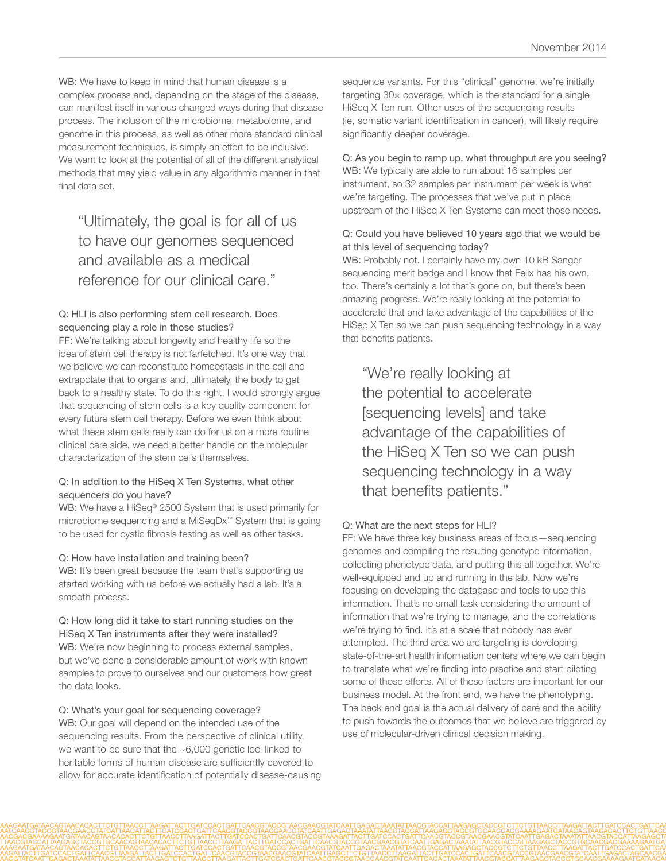WB: We have to keep in mind that human disease is a complex process and, depending on the stage of the disease, can manifest itself in various changed ways during that disease process. The inclusion of the microbiome, metabolome, and genome in this process, as well as other more standard clinical measurement techniques, is simply an effort to be inclusive. We want to look at the potential of all of the different analytical methods that may yield value in any algorithmic manner in that final data set.

## "Ultimately, the goal is for all of us to have our genomes sequenced and available as a medical reference for our clinical care."

#### Q: HLI is also performing stem cell research. Does sequencing play a role in those studies?

FF: We're talking about longevity and healthy life so the idea of stem cell therapy is not farfetched. It's one way that we believe we can reconstitute homeostasis in the cell and extrapolate that to organs and, ultimately, the body to get back to a healthy state. To do this right, I would strongly argue that sequencing of stem cells is a key quality component for every future stem cell therapy. Before we even think about what these stem cells really can do for us on a more routine clinical care side, we need a better handle on the molecular characterization of the stem cells themselves.

#### Q: In addition to the HiSeq X Ten Systems, what other sequencers do you have?

WB: We have a HiSeq® 2500 System that is used primarily for microbiome sequencing and a MiSeqDx™ System that is going to be used for cystic fibrosis testing as well as other tasks.

#### Q: How have installation and training been?

WB: It's been great because the team that's supporting us started working with us before we actually had a lab. It's a smooth process.

#### Q: How long did it take to start running studies on the HiSeq X Ten instruments after they were installed? WB: We're now beginning to process external samples, but we've done a considerable amount of work with known samples to prove to ourselves and our customers how great the data looks.

#### Q: What's your goal for sequencing coverage?

WB: Our goal will depend on the intended use of the sequencing results. From the perspective of clinical utility, we want to be sure that the ~6,000 genetic loci linked to heritable forms of human disease are sufficiently covered to allow for accurate identification of potentially disease-causing sequence variants. For this "clinical" genome, we're initially targeting 30× coverage, which is the standard for a single HiSeq X Ten run. Other uses of the sequencing results (ie, somatic variant identification in cancer), will likely require significantly deeper coverage.

### Q: As you begin to ramp up, what throughput are you seeing?

WB: We typically are able to run about 16 samples per instrument, so 32 samples per instrument per week is what we're targeting. The processes that we've put in place upstream of the HiSeq X Ten Systems can meet those needs.

#### Q: Could you have believed 10 years ago that we would be at this level of sequencing today?

WB: Probably not. I certainly have my own 10 kB Sanger sequencing merit badge and I know that Felix has his own, too. There's certainly a lot that's gone on, but there's been amazing progress. We're really looking at the potential to accelerate that and take advantage of the capabilities of the HiSeq X Ten so we can push sequencing technology in a way that benefits patients.

"We're really looking at the potential to accelerate [sequencing levels] and take advantage of the capabilities of the HiSeq X Ten so we can push sequencing technology in a way that benefits patients."

#### Q: What are the next steps for HLI?

FF: We have three key business areas of focus—sequencing genomes and compiling the resulting genotype information, collecting phenotype data, and putting this all together. We're well-equipped and up and running in the lab. Now we're focusing on developing the database and tools to use this information. That's no small task considering the amount of information that we're trying to manage, and the correlations we're trying to find. It's at a scale that nobody has ever attempted. The third area we are targeting is developing state-of-the-art health information centers where we can begin to translate what we're finding into practice and start piloting some of those efforts. All of these factors are important for our business model. At the front end, we have the phenotyping. The back end goal is the actual delivery of care and the ability to push towards the outcomes that we believe are triggered by use of molecular-driven clinical decision making.